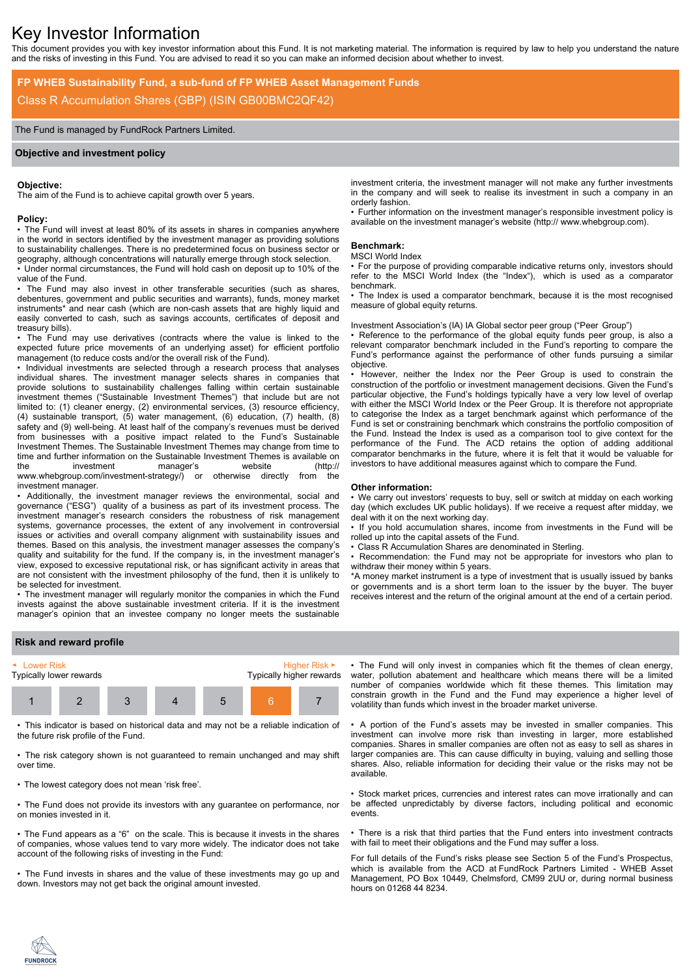# Key Investor Information

This document provides you with key investor information about this Fund. It is not marketing material. The information is required by law to help you understand the nature and the risks of investing in this Fund. You are advised to read it so you can make an informed decision about whether to invest.

# **FP WHEB Sustainability Fund, a sub-fund of FP WHEB Asset Management Funds** Class R Accumulation Shares (GBP) (ISIN GB00BMC2QF42)

# The Fund is managed by FundRock Partners Limited.

### **Objective and investment policy**

#### **Objective:**

The aim of the Fund is to achieve capital growth over 5 years.

#### **Policy:**

• The Fund will invest at least 80% of its assets in shares in companies anywhere in the world in sectors identified by the investment manager as providing solutions to sustainability challenges. There is no predetermined focus on business sector or geography, although concentrations will naturally emerge through stock selection.

• Under normal circumstances, the Fund will hold cash on deposit up to 10% of the value of the Fund.

The Fund may also invest in other transferable securities (such as shares, debentures, government and public securities and warrants), funds, money market instruments\* and near cash (which are non-cash assets that are highly liquid and easily converted to cash, such as savings accounts, certificates of deposit and treasury bills).

• The Fund may use derivatives (contracts where the value is linked to the expected future price movements of an underlying asset) for efficient portfolio management (to reduce costs and/or the overall risk of the Fund).

• Individual investments are selected through a research process that analyses individual shares. The investment manager selects shares in companies that provide solutions to sustainability challenges falling within certain sustainable investment themes ("Sustainable Investment Themes") that include but are not limited to: (1) cleaner energy, (2) environmental services, (3) resource efficiency, (4) sustainable transport, (5) water management, (6) education, (7) health, (8) safety and (9) well-being. At least half of the company's revenues must be derived from businesses with a positive impact related to the Fund's Sustainable Investment Themes. The Sustainable Investment Themes may change from time to time and further information on the Sustainable Investment Themes is available on the investment manager's website (http:// www.whebgroup.com/investment-strategy/) or otherwise directly from the investment manager.

• Additionally, the investment manager reviews the environmental, social and governance ("ESG") quality of a business as part of its investment process. The investment manager's research considers the robustness of risk management systems, governance processes, the extent of any involvement in controversial issues or activities and overall company alignment with sustainability issues and themes. Based on this analysis, the investment manager assesses the company's quality and suitability for the fund. If the company is, in the investment manager's view, exposed to excessive reputational risk, or has significant activity in areas that are not consistent with the investment philosophy of the fund, then it is unlikely to be selected for investment.

• The investment manager will regularly monitor the companies in which the Fund invests against the above sustainable investment criteria. If it is the investment manager's opinion that an investee company no longer meets the sustainable

investment criteria, the investment manager will not make any further investments in the company and will seek to realise its investment in such a company in an orderly fashion.

• Further information on the investment manager's responsible investment policy is available on the investment manager's website (http:// www.whebgroup.com).

#### **Benchmark:**

#### MSCI World Index

• For the purpose of providing comparable indicative returns only, investors should refer to the MSCI World Index (the "Index"), which is used as a comparator benchmark.

• The Index is used a comparator benchmark, because it is the most recognised measure of global equity returns.

Investment Association's (IA) IA Global sector peer group ("Peer Group")

• Reference to the performance of the global equity funds peer group, is also a relevant comparator benchmark included in the Fund's reporting to compare the Fund's performance against the performance of other funds pursuing a similar objective.

• However, neither the Index nor the Peer Group is used to constrain the construction of the portfolio or investment management decisions. Given the Fund's particular objective, the Fund's holdings typically have a very low level of overlap with either the MSCI World Index or the Peer Group. It is therefore not appropriate to categorise the Index as a target benchmark against which performance of the Fund is set or constraining benchmark which constrains the portfolio composition of the Fund. Instead the Index is used as a comparison tool to give context for the performance of the Fund. The ACD retains the option of adding additional comparator benchmarks in the future, where it is felt that it would be valuable for investors to have additional measures against which to compare the Fund.

#### **Other information:**

• We carry out investors' requests to buy, sell or switch at midday on each working day (which excludes UK public holidays). If we receive a request after midday, we deal with it on the next working day.

• If you hold accumulation shares, income from investments in the Fund will be rolled up into the capital assets of the Fund.

• Class R Accumulation Shares are denominated in Sterling.

• Recommendation: the Fund may not be appropriate for investors who plan to withdraw their money within 5 years.

\*A money market instrument is a type of investment that is usually issued by banks or governments and is a short term loan to the issuer by the buyer. The buyer receives interest and the return of the original amount at the end of a certain period.

## **Risk and reward profile**



• This indicator is based on historical data and may not be a reliable indication of the future risk profile of the Fund.

• The risk category shown is not guaranteed to remain unchanged and may shift over time.

• The lowest category does not mean 'risk free'.

• The Fund does not provide its investors with any guarantee on performance, nor on monies invested in it.

• The Fund appears as a "6" on the scale. This is because it invests in the shares of companies, whose values tend to vary more widely. The indicator does not take account of the following risks of investing in the Fund:

• The Fund invests in shares and the value of these investments may go up and down. Investors may not get back the original amount invested.

• The Fund will only invest in companies which fit the themes of clean energy, water, pollution abatement and healthcare which means there will be a limited number of companies worldwide which fit these themes. This limitation may constrain growth in the Fund and the Fund may experience a higher level of volatility than funds which invest in the broader market universe.

• A portion of the Fund's assets may be invested in smaller companies. This investment can involve more risk than investing in larger, more established companies. Shares in smaller companies are often not as easy to sell as shares in larger companies are. This can cause difficulty in buying, valuing and selling those shares. Also, reliable information for deciding their value or the risks may not be available.

• Stock market prices, currencies and interest rates can move irrationally and can be affected unpredictably by diverse factors, including political and economic events.

• There is a risk that third parties that the Fund enters into investment contracts with fail to meet their obligations and the Fund may suffer a loss.

For full details of the Fund's risks please see Section 5 of the Fund's Prospectus, which is available from the ACD at FundRock Partners Limited - WHEB Asset Management, PO Box 10449, Chelmsford, CM99 2UU or, during normal business hours on 01268 44 8234.